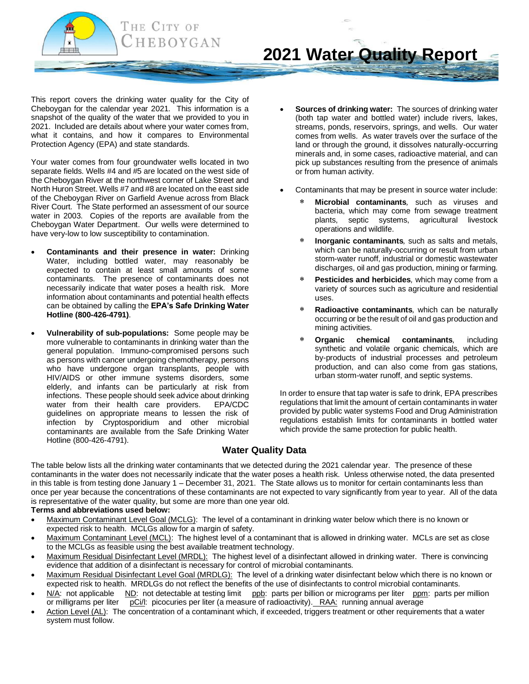

This report covers the drinking water quality for the City of Cheboygan for the calendar year 2021. This information is a snapshot of the quality of the water that we provided to you in 2021. Included are details about where your water comes from, what it contains, and how it compares to Environmental Protection Agency (EPA) and state standards.

Your water comes from four groundwater wells located in two separate fields. Wells #4 and #5 are located on the west side of the Cheboygan River at the northwest corner of Lake Street and North Huron Street. Wells #7 and #8 are located on the east side of the Cheboygan River on Garfield Avenue across from Black River Court. The State performed an assessment of our source water in 2003. Copies of the reports are available from the Cheboygan Water Department. Our wells were determined to have very-low to low susceptibility to contamination.

- **Contaminants and their presence in water:** Drinking Water, including bottled water, may reasonably be expected to contain at least small amounts of some contaminants. The presence of contaminants does not necessarily indicate that water poses a health risk. More information about contaminants and potential health effects can be obtained by calling the **EPA's Safe Drinking Water Hotline (800-426-4791)**.
- **Vulnerability of sub-populations:** Some people may be more vulnerable to contaminants in drinking water than the general population. Immuno-compromised persons such as persons with cancer undergoing chemotherapy, persons who have undergone organ transplants, people with HIV/AIDS or other immune systems disorders, some elderly, and infants can be particularly at risk from infections. These people should seek advice about drinking water from their health care providers. EPA/CDC guidelines on appropriate means to lessen the risk of infection by Cryptosporidium and other microbial contaminants are available from the Safe Drinking Water Hotline (800-426-4791).
- **Sources of drinking water:** The sources of drinking water (both tap water and bottled water) include rivers, lakes, streams, ponds, reservoirs, springs, and wells. Our water comes from wells. As water travels over the surface of the land or through the ground, it dissolves naturally-occurring minerals and, in some cases, radioactive material, and can pick up substances resulting from the presence of animals or from human activity.
- Contaminants that may be present in source water include:
	- **Microbial contaminants***,* such as viruses and bacteria, which may come from sewage treatment plants, septic systems, agricultural livestock operations and wildlife.
	- **Inorganic contaminants***,* such as salts and metals, which can be naturally-occurring or result from urban storm-water runoff, industrial or domestic wastewater discharges, oil and gas production, mining or farming.
	- **Pesticides and herbicides***,* which may come from a variety of sources such as agriculture and residential uses.
	- **Radioactive contaminants***,* which can be naturally occurring or be the result of oil and gas production and mining activities.
	- **Organic chemical contaminants***,* including synthetic and volatile organic chemicals, which are by-products of industrial processes and petroleum production, and can also come from gas stations, urban storm-water runoff, and septic systems.

In order to ensure that tap water is safe to drink, EPA prescribes regulations that limit the amount of certain contaminants in water provided by public water systems Food and Drug Administration regulations establish limits for contaminants in bottled water which provide the same protection for public health.

## **Water Quality Data**

The table below lists all the drinking water contaminants that we detected during the 2021 calendar year. The presence of these contaminants in the water does not necessarily indicate that the water poses a health risk. Unless otherwise noted, the data presented in this table is from testing done January 1 – December 31, 2021. The State allows us to monitor for certain contaminants less than once per year because the concentrations of these contaminants are not expected to vary significantly from year to year. All of the data is representative of the water quality, but some are more than one year old.

## **Terms and abbreviations used below:**

- Maximum Contaminant Level Goal (MCLG): The level of a contaminant in drinking water below which there is no known or expected risk to health. MCLGs allow for a margin of safety.
- Maximum Contaminant Level (MCL): The highest level of a contaminant that is allowed in drinking water. MCLs are set as close to the MCLGs as feasible using the best available treatment technology.
- Maximum Residual Disinfectant Level (MRDL): The highest level of a disinfectant allowed in drinking water. There is convincing evidence that addition of a disinfectant is necessary for control of microbial contaminants.
- Maximum Residual Disinfectant Level Goal (MRDLG): The level of a drinking water disinfectant below which there is no known or expected risk to health. MRDLGs do not reflect the benefits of the use of disinfectants to control microbial contaminants.
- N/A: not applicable ND: not detectable at testing limit ppb: parts per billion or micrograms per liter ppm: parts per million or milligrams per liter pCi/l: picocuries per liter (a measure of radioactivity). RAA: running annual average
- Action Level (AL): The concentration of a contaminant which, if exceeded, triggers treatment or other requirements that a water system must follow.